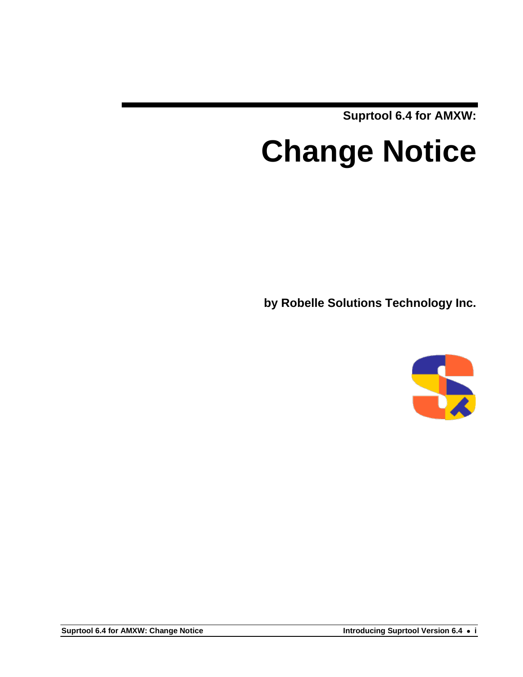**Suprtool 6.4 for AMXW:**

# **Change Notice**

**by Robelle Solutions Technology Inc.**

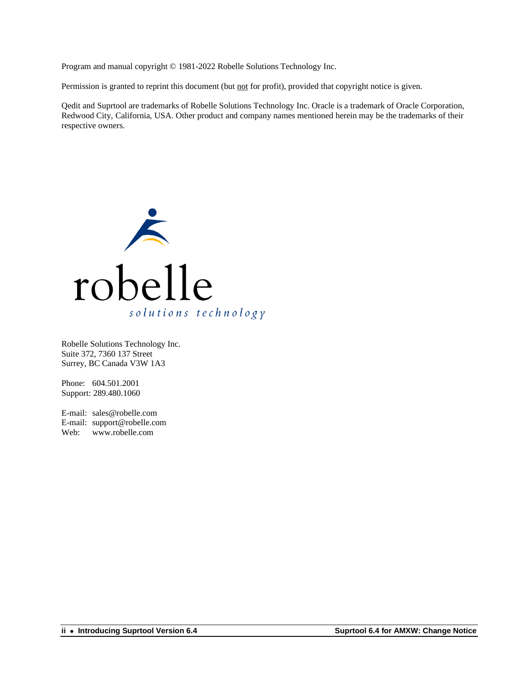Program and manual copyright © 1981-2022 Robelle Solutions Technology Inc.

Permission is granted to reprint this document (but not for profit), provided that copyright notice is given.

Qedit and Suprtool are trademarks of Robelle Solutions Technology Inc. Oracle is a trademark of Oracle Corporation, Redwood City, California, USA. Other product and company names mentioned herein may be the trademarks of their respective owners.



Robelle Solutions Technology Inc. Suite 372, 7360 137 Street Surrey, BC Canada V3W 1A3

Phone: 604.501.2001 Support: 289.480.1060

E-mail: sales@robelle.com E-mail: support@robelle.com Web: www.robelle.com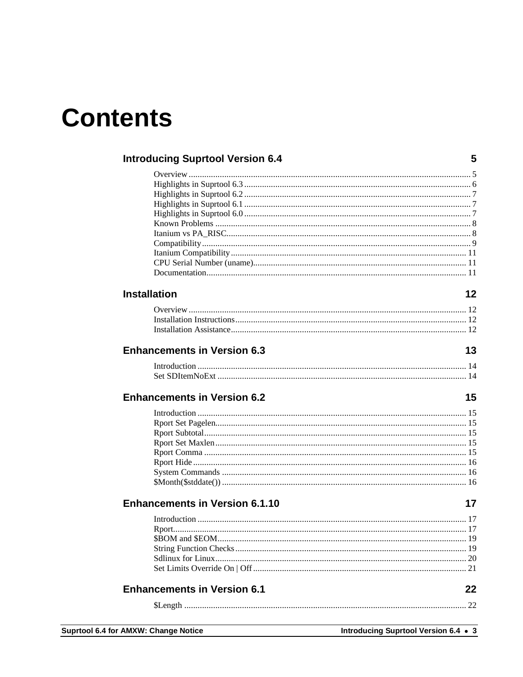# **Contents**

| <b>Introducing Suprtool Version 6.4</b><br>5 |    |  |
|----------------------------------------------|----|--|
|                                              |    |  |
|                                              |    |  |
|                                              |    |  |
|                                              |    |  |
|                                              |    |  |
|                                              |    |  |
|                                              |    |  |
|                                              |    |  |
|                                              |    |  |
|                                              |    |  |
|                                              |    |  |
| <b>Installation</b>                          | 12 |  |
|                                              |    |  |
|                                              |    |  |
|                                              |    |  |
| <b>Enhancements in Version 6.3</b>           | 13 |  |
|                                              |    |  |
|                                              |    |  |
| <b>Enhancements in Version 6.2</b>           | 15 |  |
|                                              |    |  |
|                                              |    |  |
|                                              |    |  |
|                                              |    |  |
|                                              |    |  |
|                                              |    |  |
|                                              |    |  |
|                                              |    |  |
| <b>Enhancements in Version 6.1.10</b>        | 17 |  |
|                                              |    |  |
| Rport                                        |    |  |
|                                              |    |  |
|                                              |    |  |
|                                              |    |  |
|                                              |    |  |
| <b>Enhancements in Version 6.1</b>           | 22 |  |
|                                              |    |  |
|                                              |    |  |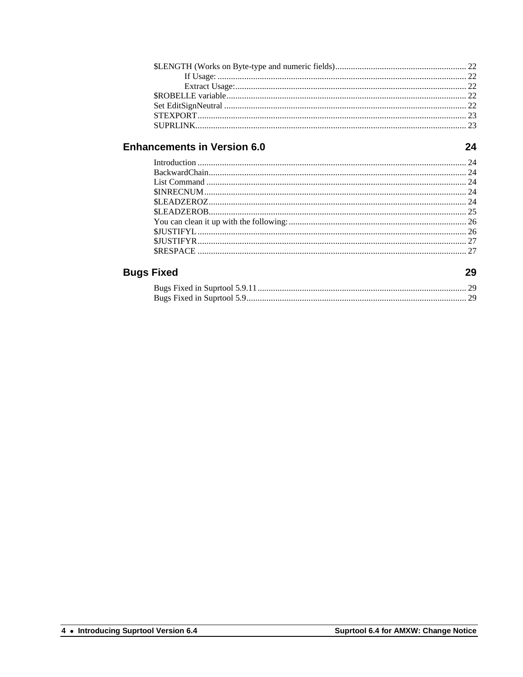24

29

#### **Bugs Fixed**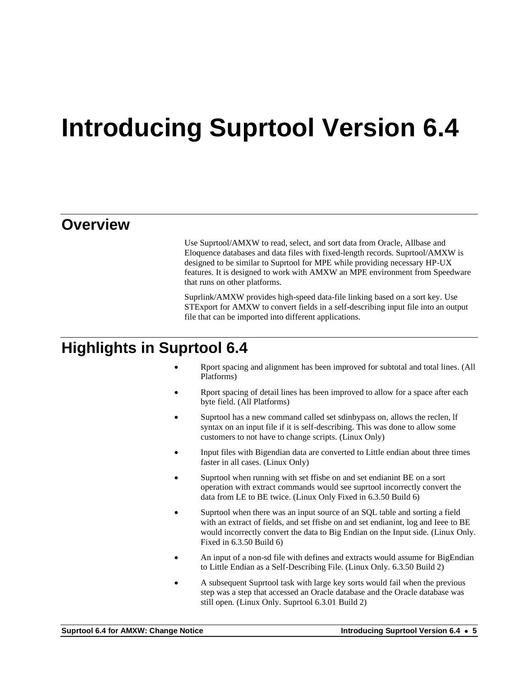# <span id="page-4-0"></span>**Introducing Suprtool Version 6.4**

#### <span id="page-4-1"></span>**Overview**

Use Suprtool/AMXW to read, select, and sort data from Oracle, Allbase and Eloquence databases and data files with fixed-length records. Suprtool/AMXW is designed to be similar to Suprtool for MPE while providing necessary HP-UX features. It is designed to work with AMXW an MPE environment from Speedware that runs on other platforms.

Suprlink/AMXW provides high-speed data-file linking based on a sort key. Use STExport for AMXW to convert fields in a self-describing input file into an output file that can be imported into different applications.

### **Highlights in Suprtool 6.4**

- Rport spacing and alignment has been improved for subtotal and total lines. (All Platforms)
- Rport spacing of detail lines has been improved to allow for a space after each byte field. (All Platforms)
- Suprtool has a new command called set sdinbypass on, allows the reclen, If syntax on an input file if it is self-describing. This was done to allow some customers to not have to change scripts. (Linux Only)
- Input files with Bigendian data are converted to Little endian about three times faster in all cases. (Linux Only)
- Suprtool when running with set ffisbe on and set endianint BE on a sort operation with extract commands would see suprtool incorrectly convert the data from LE to BE twice. (Linux Only Fixed in 6.3.50 Build 6)
- Suprtool when there was an input source of an SQL table and sorting a field with an extract of fields, and set ffisbe on and set endianint, log and Ieee to BE would incorrectly convert the data to Big Endian on the Input side. (Linux Only. Fixed in 6.3.50 Build 6)
- An input of a non-sd file with defines and extracts would assume for BigEndian to Little Endian as a Self-Describing File. (Linux Only. 6.3.50 Build 2)
- A subsequent Suprtool task with large key sorts would fail when the previous step was a step that accessed an Oracle database and the Oracle database was still open. (Linux Only. Suprtool 6.3.01 Build 2)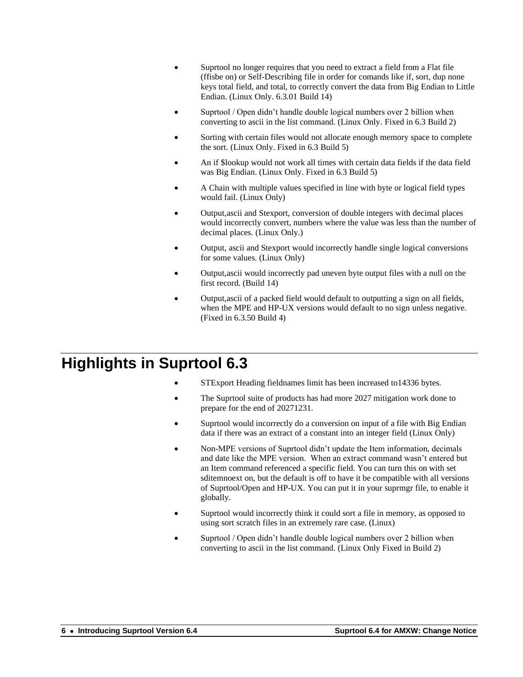- Suprtool no longer requires that you need to extract a field from a Flat file (ffisbe on) or Self-Describing file in order for comands like if, sort, dup none keys total field, and total, to correctly convert the data from Big Endian to Little Endian. (Linux Only. 6.3.01 Build 14)
- Suprtool / Open didn't handle double logical numbers over 2 billion when converting to ascii in the list command. (Linux Only. Fixed in 6.3 Build 2)
- Sorting with certain files would not allocate enough memory space to complete the sort. (Linux Only. Fixed in 6.3 Build 5)
- An if \$lookup would not work all times with certain data fields if the data field was Big Endian. (Linux Only. Fixed in 6.3 Build 5)
- A Chain with multiple values specified in line with byte or logical field types would fail. (Linux Only)
- Output,ascii and Stexport, conversion of double integers with decimal places would incorrectly convert, numbers where the value was less than the number of decimal places. (Linux Only.)
- Output, ascii and Stexport would incorrectly handle single logical conversions for some values. (Linux Only)
- Output,ascii would incorrectly pad uneven byte output files with a null on the first record. (Build 14)
- Output,ascii of a packed field would default to outputting a sign on all fields, when the MPE and HP-UX versions would default to no sign unless negative. (Fixed in 6.3.50 Build 4)

## <span id="page-5-0"></span>**Highlights in Suprtool 6.3**

- STExport Heading fieldnames limit has been increased to 14336 bytes.
- The Suprtool suite of products has had more 2027 mitigation work done to prepare for the end of 20271231.
- Suprtool would incorrectly do a conversion on input of a file with Big Endian data if there was an extract of a constant into an integer field (Linux Only)
- Non-MPE versions of Suprtool didn't update the Item information, decimals and date like the MPE version. When an extract command wasn't entered but an Item command referenced a specific field. You can turn this on with set sditemnoext on, but the default is off to have it be compatible with all versions of Suprtool/Open and HP-UX. You can put it in your suprmgr file, to enable it globally.
- Suprtool would incorrectly think it could sort a file in memory, as opposed to using sort scratch files in an extremely rare case. (Linux)
- Suprtool / Open didn't handle double logical numbers over 2 billion when converting to ascii in the list command. (Linux Only Fixed in Build 2)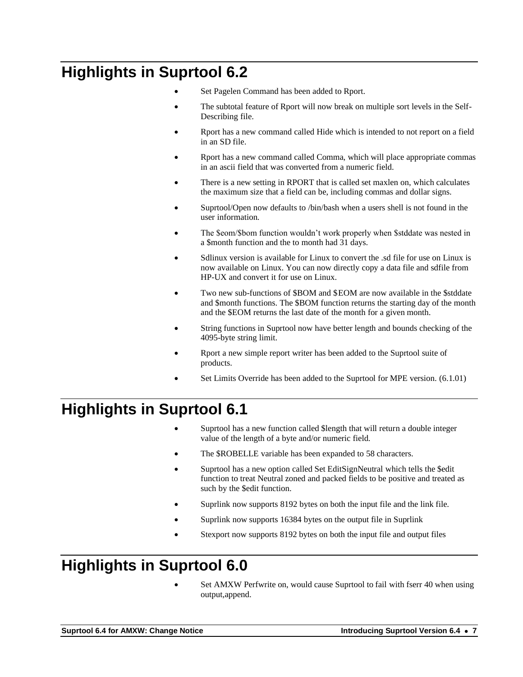# <span id="page-6-0"></span>**Highlights in Suprtool 6.2**

- Set Pagelen Command has been added to Rport.
- The subtotal feature of Rport will now break on multiple sort levels in the Self-Describing file.
- Rport has a new command called Hide which is intended to not report on a field in an SD file.
- Rport has a new command called Comma, which will place appropriate commas in an ascii field that was converted from a numeric field.
- There is a new setting in RPORT that is called set maxlen on, which calculates the maximum size that a field can be, including commas and dollar signs.
- Suprtool/Open now defaults to /bin/bash when a users shell is not found in the user information.
- The \$eom/\$bom function wouldn't work properly when \$stddate was nested in a \$month function and the to month had 31 days.
- Sdlinux version is available for Linux to convert the .sd file for use on Linux is now available on Linux. You can now directly copy a data file and sdfile from HP-UX and convert it for use on Linux.
- Two new sub-functions of \$BOM and \$EOM are now available in the \$stddate and \$month functions. The \$BOM function returns the starting day of the month and the \$EOM returns the last date of the month for a given month.
- String functions in Suprtool now have better length and bounds checking of the 4095-byte string limit.
- Rport a new simple report writer has been added to the Suprtool suite of products.
- Set Limits Override has been added to the Suprtool for MPE version. (6.1.01)

# <span id="page-6-1"></span>**Highlights in Suprtool 6.1**

- Suprtool has a new function called \$length that will return a double integer value of the length of a byte and/or numeric field.
- The \$ROBELLE variable has been expanded to 58 characters.
- Suprtool has a new option called Set EditSignNeutral which tells the \$edit function to treat Neutral zoned and packed fields to be positive and treated as such by the \$edit function.
- Suprlink now supports 8192 bytes on both the input file and the link file.
- Suprlink now supports 16384 bytes on the output file in Suprlink
- Stexport now supports 8192 bytes on both the input file and output files

# <span id="page-6-2"></span>**Highlights in Suprtool 6.0**

Set AMXW Perfwrite on, would cause Suprtool to fail with fserr 40 when using output,append.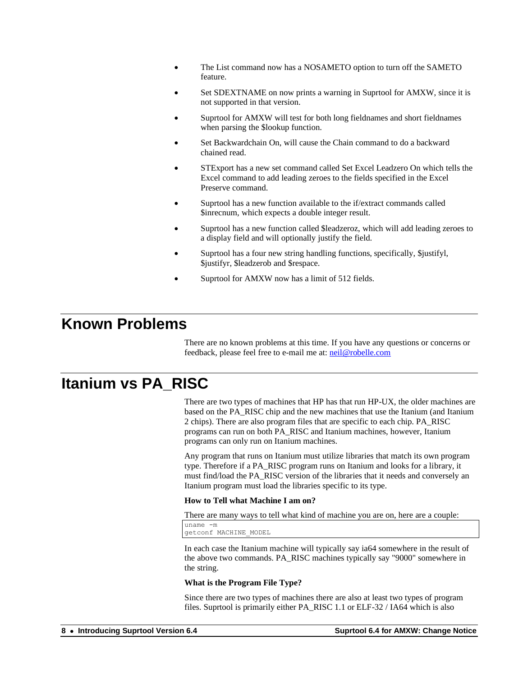- The List command now has a NOSAMETO option to turn off the SAMETO feature.
- Set SDEXTNAME on now prints a warning in Suprtool for AMXW, since it is not supported in that version.
- Suprtool for AMXW will test for both long fieldnames and short fieldnames when parsing the \$lookup function.
- Set Backwardchain On, will cause the Chain command to do a backward chained read.
- STExport has a new set command called Set Excel Leadzero On which tells the Excel command to add leading zeroes to the fields specified in the Excel Preserve command.
- Suprtool has a new function available to the if/extract commands called \$inrecnum, which expects a double integer result.
- Suprtool has a new function called \$leadzeroz, which will add leading zeroes to a display field and will optionally justify the field.
- Suprtool has a four new string handling functions, specifically, \$justifyl, \$justifyr, \$leadzerob and \$respace.
- Suprtool for AMXW now has a limit of 512 fields.

#### <span id="page-7-0"></span>**Known Problems**

There are no known problems at this time. If you have any questions or concerns or feedback, please feel free to e-mail me at[: neil@robelle.com](mailto:neil@robelle.com)

### <span id="page-7-1"></span>**Itanium vs PA\_RISC**

There are two types of machines that HP has that run HP-UX, the older machines are based on the PA\_RISC chip and the new machines that use the Itanium (and Itanium 2 chips). There are also program files that are specific to each chip. PA\_RISC programs can run on both PA\_RISC and Itanium machines, however, Itanium programs can only run on Itanium machines.

Any program that runs on Itanium must utilize libraries that match its own program type. Therefore if a PA\_RISC program runs on Itanium and looks for a library, it must find/load the PA\_RISC version of the libraries that it needs and conversely an Itanium program must load the libraries specific to its type.

#### **How to Tell what Machine I am on?**

There are many ways to tell what kind of machine you are on, here are a couple:

uname -m getconf MACHINE\_MODEL

In each case the Itanium machine will typically say ia64 somewhere in the result of the above two commands. PA\_RISC machines typically say "9000" somewhere in the string.

#### **What is the Program File Type?**

Since there are two types of machines there are also at least two types of program files. Suprtool is primarily either PA\_RISC 1.1 or ELF-32 / IA64 which is also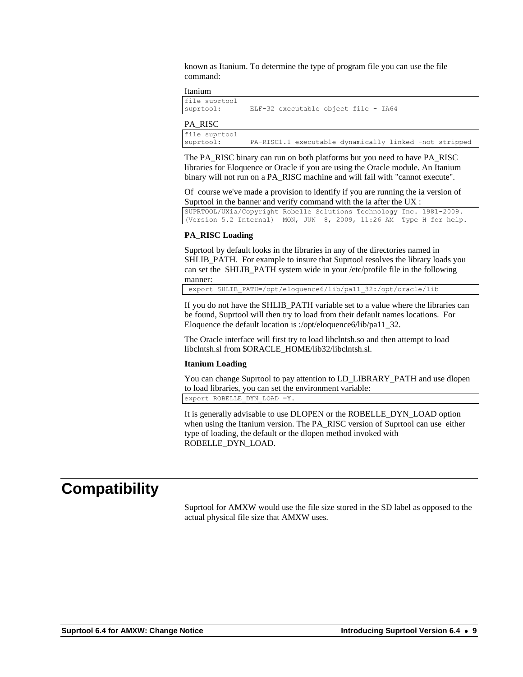known as Itanium. To determine the type of program file you can use the file command:

#### Itanium

| file suprtool<br>suprtool: | ELF-32 executable object file - IA64                   |
|----------------------------|--------------------------------------------------------|
| PA RISC                    |                                                        |
| file suprtool<br>suprtool: | PA-RISC1.1 executable dynamically linked -not stripped |

The PA\_RISC binary can run on both platforms but you need to have PA\_RISC libraries for Eloquence or Oracle if you are using the Oracle module. An Itanium binary will not run on a PA\_RISC machine and will fail with "cannot execute".

Of course we've made a provision to identify if you are running the ia version of Suprtool in the banner and verify command with the ia after the UX :

SUPRTOOL/UXia/Copyright Robelle Solutions Technology Inc. 1981-2009. (Version 5.2 Internal) MON, JUN 8, 2009, 11:26 AM Type H for help.

#### **PA\_RISC Loading**

Suprtool by default looks in the libraries in any of the directories named in SHLIB PATH. For example to insure that Suprtool resolves the library loads you can set the SHLIB\_PATH system wide in your /etc/profile file in the following manner:

export SHLIB\_PATH=/opt/eloquence6/lib/pa11\_32:/opt/oracle/lib

If you do not have the SHLIB\_PATH variable set to a value where the libraries can be found, Suprtool will then try to load from their default names locations. For Eloquence the default location is :/opt/eloquence6/lib/pa11\_32.

The Oracle interface will first try to load libclntsh.so and then attempt to load libclntsh.sl from \$ORACLE\_HOME/lib32/libclntsh.sl.

#### **Itanium Loading**

You can change Suprtool to pay attention to LD\_LIBRARY\_PATH and use dlopen to load libraries, you can set the environment variable:

export ROBELLE\_DYN\_LOAD =Y.

It is generally advisable to use DLOPEN or the ROBELLE\_DYN\_LOAD option when using the Itanium version. The PA\_RISC version of Suprtool can use either type of loading, the default or the dlopen method invoked with ROBELLE\_DYN\_LOAD.

#### <span id="page-8-0"></span>**Compatibility**

Suprtool for AMXW would use the file size stored in the SD label as opposed to the actual physical file size that AMXW uses.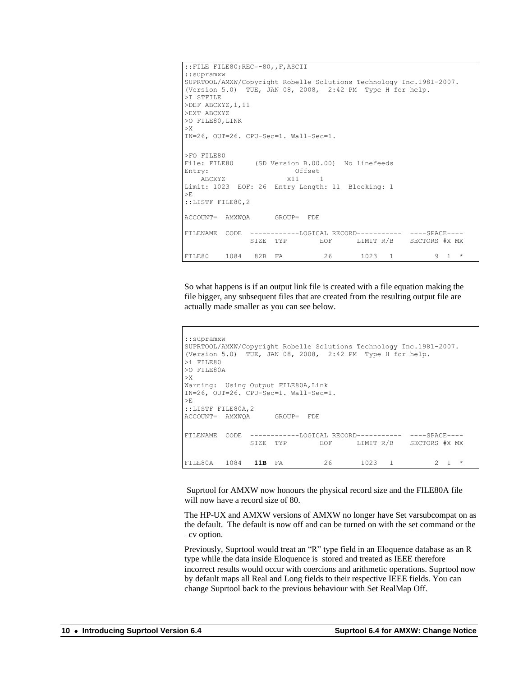```
::FILE FILE80;REC=-80,,F,ASCII
::supramxw
SUPRTOOL/AMXW/Copyright Robelle Solutions Technology Inc.1981-2007.
(Version 5.0) TUE, JAN 08, 2008, 2:42 PM Type H for help.
>I STFILE
>DEF ABCXYZ,1,11
>EXT ABCXYZ
>O FILE80,LINK
>X
IN=26, OUT=26. CPU-Sec=1. Wall-Sec=1.
>FO FILE80<br>File: FILE80
             (SD Version B.00.00) No linefeeds
Entry: Offset
 ABCXYZ X11 1
Limit: 1023 EOF: 26 Entry Length: 11 Blocking: 1
>E
::LISTF FILE80,2
ACCOUNT= AMXWQA GROUP= FDE
FILENAME CODE ------------LOGICAL RECORD----------- ----SPACE----
              SIZE TYP EOF LIMIT R/B SECTORS #X MX
FILE80 1084 82B FA 26 1023 1 9 1 *
```
So what happens is if an output link file is created with a file equation making the file bigger, any subsequent files that are created from the resulting output file are actually made smaller as you can see below.

```
::supramxw
SUPRTOOL/AMXW/Copyright Robelle Solutions Technology Inc.1981-2007.
(Version 5.0) TUE, JAN 08, 2008, 2:42 PM Type H for help.
>i FILE80
>O FILE80A
>X
Warning: Using Output FILE80A, Link
IN=26, OUT=26. CPU-Sec=1. Wall-Sec=1.
>E
::LISTF FILE80A,2
ACCOUNT= AMXWQA GROUP= FDE
FILENAME CODE ------------LOGICAL RECORD----------- ----SPACE----
              SIZE TYP EOF LIMIT R/B SECTORS #X MX
FILE80A 1084 11B FA 26 1023 1 2 1 *
```
Suprtool for AMXW now honours the physical record size and the FILE80A file will now have a record size of 80.

The HP-UX and AMXW versions of AMXW no longer have Set varsubcompat on as the default. The default is now off and can be turned on with the set command or the –cv option.

Previously, Suprtool would treat an "R" type field in an Eloquence database as an R type while the data inside Eloquence is stored and treated as IEEE therefore incorrect results would occur with coercions and arithmetic operations. Suprtool now by default maps all Real and Long fields to their respective IEEE fields. You can change Suprtool back to the previous behaviour with Set RealMap Off.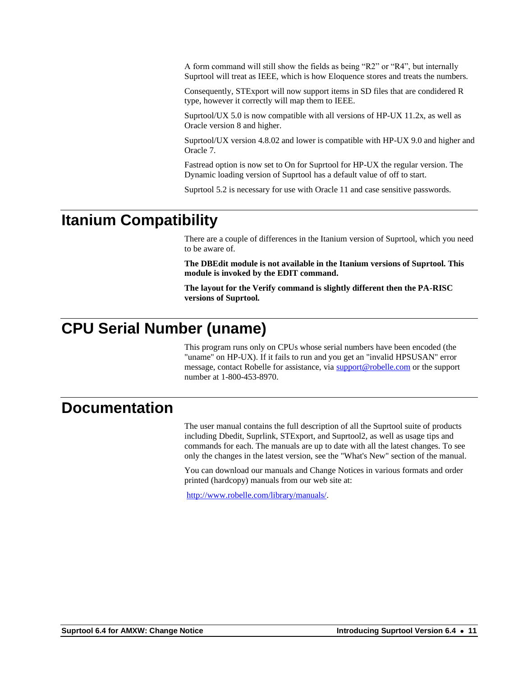A form command will still show the fields as being "R2" or "R4", but internally Suprtool will treat as IEEE, which is how Eloquence stores and treats the numbers.

Consequently, STExport will now support items in SD files that are condidered R type, however it correctly will map them to IEEE.

Suprtool/UX 5.0 is now compatible with all versions of HP-UX 11.2x, as well as Oracle version 8 and higher.

Suprtool/UX version 4.8.02 and lower is compatible with HP-UX 9.0 and higher and Oracle 7.

Fastread option is now set to On for Suprtool for HP-UX the regular version. The Dynamic loading version of Suprtool has a default value of off to start.

Suprtool 5.2 is necessary for use with Oracle 11 and case sensitive passwords.

#### <span id="page-10-0"></span>**Itanium Compatibility**

There are a couple of differences in the Itanium version of Suprtool, which you need to be aware of.

**The DBEdit module is not available in the Itanium versions of Suprtool. This module is invoked by the EDIT command.**

**The layout for the Verify command is slightly different then the PA-RISC versions of Suprtool.**

## <span id="page-10-1"></span>**CPU Serial Number (uname)**

This program runs only on CPUs whose serial numbers have been encoded (the "uname" on HP-UX). If it fails to run and you get an "invalid HPSUSAN" error message, contact Robelle for assistance, via **support@robelle.com** or the support number at 1-800-453-8970.

### <span id="page-10-2"></span>**Documentation**

The user manual contains the full description of all the Suprtool suite of products including Dbedit, Suprlink, STExport, and Suprtool2, as well as usage tips and commands for each. The manuals are up to date with all the latest changes. To see only the changes in the latest version, see the "What's New" section of the manual.

You can download our manuals and Change Notices in various formats and order printed (hardcopy) manuals from our web site at:

[http://www.robelle.com/library/manuals/.](http://www.robelle.com/library/manuals/)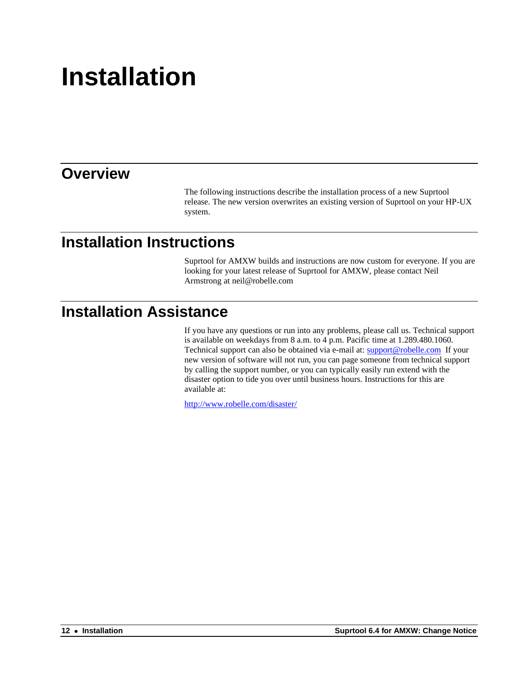# <span id="page-11-0"></span>**Installation**

#### <span id="page-11-1"></span>**Overview**

The following instructions describe the installation process of a new Suprtool release. The new version overwrites an existing version of Suprtool on your HP-UX system.

# <span id="page-11-2"></span>**Installation Instructions**

Suprtool for AMXW builds and instructions are now custom for everyone. If you are looking for your latest release of Suprtool for AMXW, please contact Neil Armstrong at neil@robelle.com

### <span id="page-11-3"></span>**Installation Assistance**

If you have any questions or run into any problems, please call us. Technical support is available on weekdays from 8 a.m. to 4 p.m. Pacific time at 1.289.480.1060. Technical support can also be obtained via e-mail at[: support@robelle.com](mailto:support@robelle.com) If your new version of software will not run, you can page someone from technical support by calling the support number, or you can typically easily run extend with the disaster option to tide you over until business hours. Instructions for this are available at:

<http://www.robelle.com/disaster/>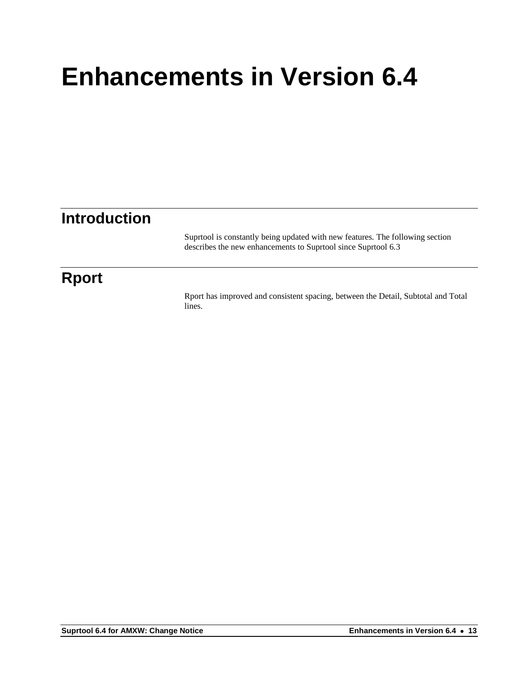# <span id="page-12-0"></span>**Introduction**

Suprtool is constantly being updated with new features. The following section describes the new enhancements to Suprtool since Suprtool 6.3

# **Rport**

Rport has improved and consistent spacing, between the Detail, Subtotal and Total lines.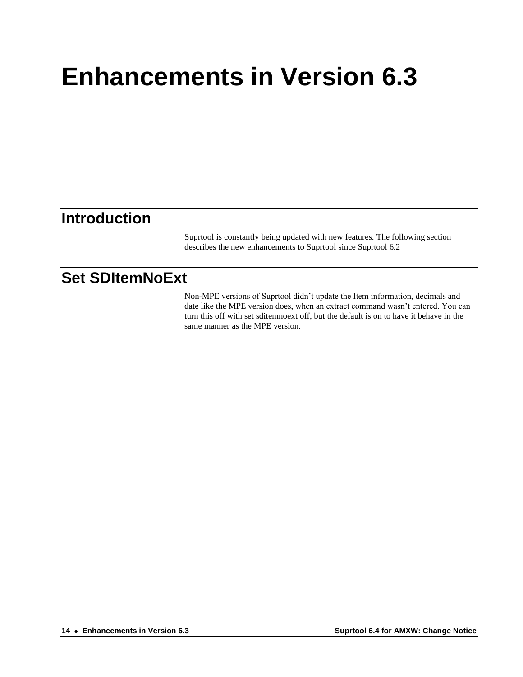### <span id="page-13-0"></span>**Introduction**

Suprtool is constantly being updated with new features. The following section describes the new enhancements to Suprtool since Suprtool 6.2

## <span id="page-13-1"></span>**Set SDItemNoExt**

Non-MPE versions of Suprtool didn't update the Item information, decimals and date like the MPE version does, when an extract command wasn't entered. You can turn this off with set sditemnoext off, but the default is on to have it behave in the same manner as the MPE version.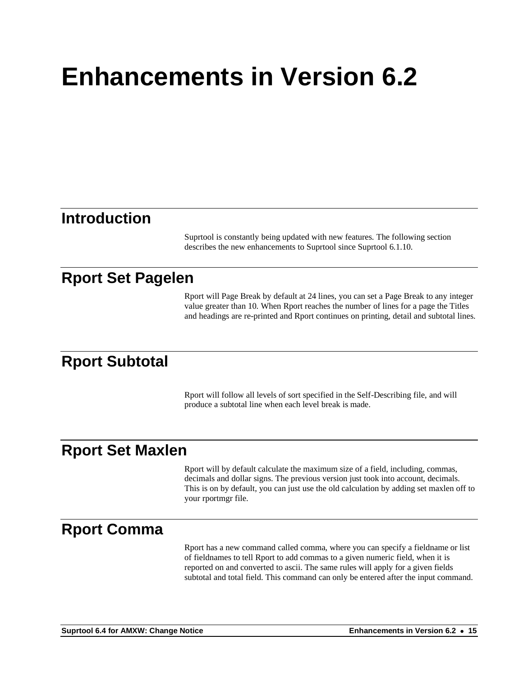#### <span id="page-14-1"></span><span id="page-14-0"></span>**Introduction**

Suprtool is constantly being updated with new features. The following section describes the new enhancements to Suprtool since Suprtool 6.1.10.

### <span id="page-14-2"></span>**Rport Set Pagelen**

Rport will Page Break by default at 24 lines, you can set a Page Break to any integer value greater than 10. When Rport reaches the number of lines for a page the Titles and headings are re-printed and Rport continues on printing, detail and subtotal lines.

### <span id="page-14-3"></span>**Rport Subtotal**

Rport will follow all levels of sort specified in the Self-Describing file, and will produce a subtotal line when each level break is made.

#### <span id="page-14-4"></span>**Rport Set Maxlen**

Rport will by default calculate the maximum size of a field, including, commas, decimals and dollar signs. The previous version just took into account, decimals. This is on by default, you can just use the old calculation by adding set maxlen off to your rportmgr file.

#### <span id="page-14-5"></span>**Rport Comma**

Rport has a new command called comma, where you can specify a fieldname or list of fieldnames to tell Rport to add commas to a given numeric field, when it is reported on and converted to ascii. The same rules will apply for a given fields subtotal and total field. This command can only be entered after the input command.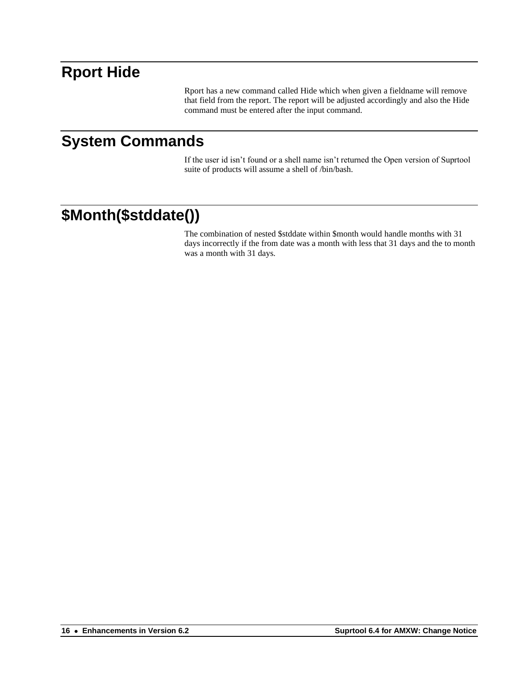## <span id="page-15-0"></span>**Rport Hide**

Rport has a new command called Hide which when given a fieldname will remove that field from the report. The report will be adjusted accordingly and also the Hide command must be entered after the input command.

## <span id="page-15-1"></span>**System Commands**

If the user id isn't found or a shell name isn't returned the Open version of Suprtool suite of products will assume a shell of /bin/bash.

# <span id="page-15-2"></span>**\$Month(\$stddate())**

The combination of nested \$stddate within \$month would handle months with 31 days incorrectly if the from date was a month with less that 31 days and the to month was a month with 31 days.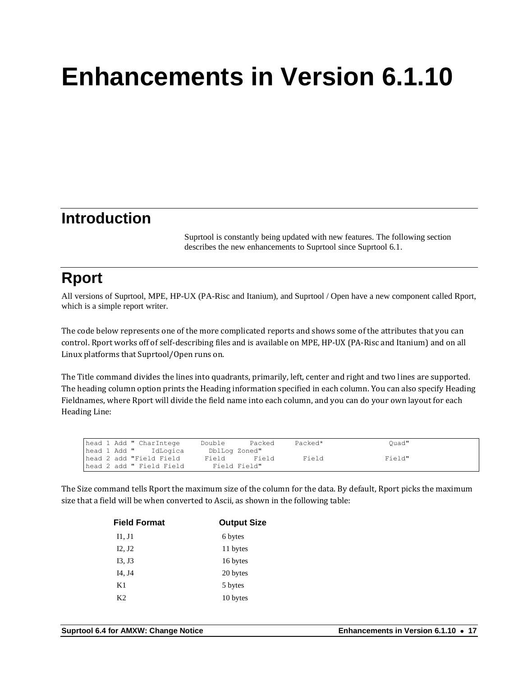## <span id="page-16-1"></span><span id="page-16-0"></span>**Introduction**

Suprtool is constantly being updated with new features. The following section describes the new enhancements to Suprtool since Suprtool 6.1.

# <span id="page-16-2"></span>**Rport**

All versions of Suprtool, MPE, HP-UX (PA-Risc and Itanium), and Suprtool / Open have a new component called Rport, which is a simple report writer.

The code below represents one of the more complicated reports and shows some of the attributes that you can control. Rport works off of self-describing files and is available on MPE, HP-UX (PA-Risc and Itanium) and on all Linux platforms that Suprtool/Open runs on.

The Title command divides the lines into quadrants, primarily, left, center and right and two lines are supported. The heading column option prints the Heading information specified in each column. You can also specify Heading Fieldnames, where Rport will divide the field name into each column, and you can do your own layout for each Heading Line:

| head 1 Add " CharIntege  | Double<br>Packed | Packed* | Ouad"  |
|--------------------------|------------------|---------|--------|
| head 1 Add " IdLogica    | DblLog Zoned"    |         |        |
| head 2 add "Field Field" | Field<br>Field   | Field   | Field" |
| head 2 add " Field Field | Field Field"     |         |        |

The Size command tells Rport the maximum size of the column for the data. By default, Rport picks the maximum size that a field will be when converted to Ascii, as shown in the following table:

| <b>Field Format</b> | <b>Output Size</b> |  |
|---------------------|--------------------|--|
| II, J1              | 6 bytes            |  |
| I2, J2              | 11 bytes           |  |
| I3, J3              | 16 bytes           |  |
| I4, J4              | 20 bytes           |  |
| K1                  | 5 bytes            |  |
| K2                  | 10 bytes           |  |
|                     |                    |  |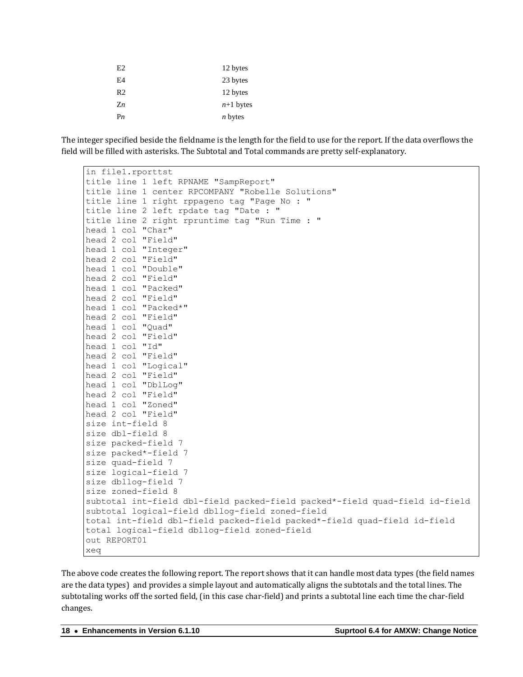| E2             | 12 bytes       |
|----------------|----------------|
| E4             | 23 bytes       |
| R <sub>2</sub> | 12 bytes       |
| $Z_n$          | $n+1$ bytes    |
| P <sub>n</sub> | <i>n</i> bytes |

The integer specified beside the fieldname is the length for the field to use for the report. If the data overflows the field will be filled with asterisks. The Subtotal and Total commands are pretty self-explanatory.

| in file1.rporttst                                                           |
|-----------------------------------------------------------------------------|
| title line 1 left RPNAME "SampReport"                                       |
| title line 1 center RPCOMPANY "Robelle Solutions"                           |
| title line 1 right rppageno tag "Page No : "                                |
| title line 2 left rpdate tag "Date : "                                      |
| title line 2 right rpruntime tag "Run Time : "                              |
| head 1 col "Char"                                                           |
| head 2 col "Field"                                                          |
| head 1 col "Integer"                                                        |
| head 2 col "Field"                                                          |
| head 1 col "Double"                                                         |
| head 2 col "Field"                                                          |
| head 1 col "Packed"                                                         |
| head 2 col "Field"                                                          |
| head 1 col "Packed*"                                                        |
| head 2 col "Field"                                                          |
| head 1 col "Quad"                                                           |
| head 2 col "Field"                                                          |
| head 1 col "Id"                                                             |
| head 2 col "Field"                                                          |
| head 1 col "Logical"                                                        |
| head 2 col "Field"                                                          |
| head 1 col "DblLog"                                                         |
| head 2 col "Field"                                                          |
| head 1 col "Zoned"                                                          |
| head 2 col "Field"                                                          |
| size int-field 8                                                            |
| size dbl-field 8                                                            |
| size packed-field 7                                                         |
| size packed*-field 7                                                        |
| size quad-field 7                                                           |
| size logical-field 7                                                        |
| size dbllog-field 7                                                         |
| size zoned-field 8                                                          |
| subtotal int-field dbl-field packed-field packed*-field quad-field id-field |
| subtotal logical-field dbllog-field zoned-field                             |
| total int-field dbl-field packed-field packed*-field quad-field id-field    |
| total logical-field dbllog-field zoned-field                                |
| out REPORT01                                                                |
| xeq                                                                         |

The above code creates the following report. The report shows that it can handle most data types (the field names are the data types) and provides a simple layout and automatically aligns the subtotals and the total lines. The subtotaling works off the sorted field, (in this case char-field) and prints a subtotal line each time the char-field changes.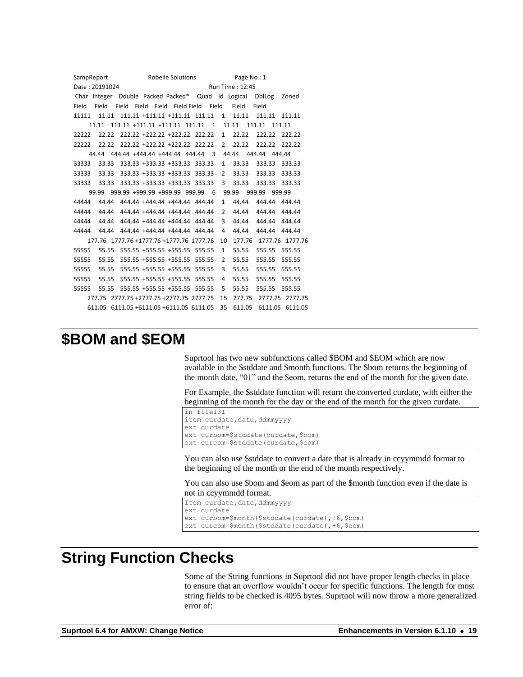SampReport Robelle Solutions Page No: 1 Date: 20191024 Run Time: 12:45 Char Integer Double Packed Packed\* Quad Id Logical DblLog Zoned Field Field Field Field Field Field Field Field Field Field 11111 11.11 111.11 +111.11 +111.11 111.11 1 11.11 111.11 111.11 11.11 111.11 +111.11 +111.11 111.11 1 11.11 111.11 111.11 22222 22.22 222.22 +222.22 +222.22 222.22 1 22.22 222.22 222.22 22222 22.22 222.22 +222.22 +222.22 222.22 2 22.22 222.22 222.22 44.44 444.44 +444.44 +444.44 444.44 3 44.44 444.44 444.44 33333 33.33 333.33 +333.33 +333.33 333.33 1 33.33 333.33 333.33 33333 33.33 333.33 +333.33 +333.33 333.33 2 33.33 333.33 333.33 33333 33.33 333.33 +333.33 +333.33 333.33 3 33.33 333.33 333.33 99.99 999.99 +999.99 +999.99 999.99 6 99.99 999.99 999.99 44444 44.44 444.44 +444.44 +444.44 444.44 1 44.44 444.44 444.44 44444 44.44 444.44 +444.44 +444.44 444.44 2 44.44 444.44 444.44 44444 44.44 444.44 +444.44 +444.44 444.44 3 44.44 444.44 444.44 44444 44.44 444.44 +444.44 +444.44 444.44 4 44.44 444.44 444.44 177.76 1777.76 +1777.76 +1777.76 1777.76 10 177.76 1777.76 1777.76 55555 55.55 555.55 +555.55 +555.55 555.55 1 55.55 555.55 555.55 55555 55.55 555.55 +555.55 +555.55 555.55 2 55.55 555.55 555.55 55555 55.55 555.55 +555.55 +555.55 555.55 3 55.55 555.55 555.55 55555 55.55 555.55 +555.55 +555.55 555.55 4 55.55 555.55 555.55 55555 55.55 555.55 +555.55 +555.55 555.55 5 55.55 555.55 555.55 277.75 2777.75 +2777.75 +2777.75 2777.75 15 277.75 2777.75 2777.75 611.05 6111.05 +6111.05 +6111.05 6111.05 35 611.05 6111.05 6111.05

#### <span id="page-18-0"></span>**\$BOM and \$EOM**

Suprtool has two new subfunctions called \$BOM and \$EOM which are now available in the \$stddate and \$month functions. The \$bom returns the beginning of the month date, "01" and the \$eom, returns the end of the month for the given date.

For Example, the \$stddate function will return the converted curdate, with either the beginning of the month for the day or the end of the month for the given curdate.

```
in file131
item curdate, date, ddmmyyyy
ext curdate
ext curbom=$stddate(curdate,$bom)
ext cureom=$stddate(curdate,$eom)
```
You can also use \$stddate to convert a date that is already in ccyymmdd format to the beginning of the month or the end of the month respectively.

You can also use \$bom and \$eom as part of the \$month function even if the date is not in ccyymmdd format.

```
Item curdate, date, ddmmyyyy
ext curdate
ext curbom=$month($stddate(curdate),+6,$bom)
ext cureom=$month($stddate(curdate),+6,$eom)
```
### <span id="page-18-1"></span>**String Function Checks**

Some of the String functions in Suprtool did not have proper length checks in place to ensure that an overflow wouldn't occur for specific functions. The length for most string fields to be checked is 4095 bytes. Suprtool will now throw a more generalized error of: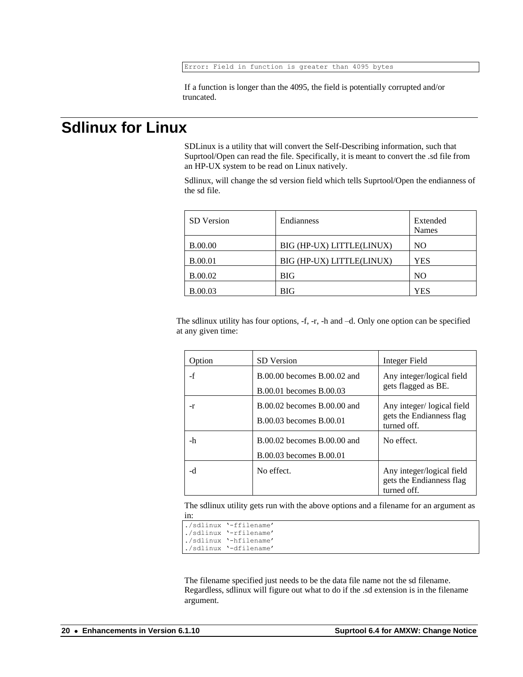If a function is longer than the 4095, the field is potentially corrupted and/or truncated.

### <span id="page-19-0"></span>**Sdlinux for Linux**

SDLinux is a utility that will convert the Self-Describing information, such that Suprtool/Open can read the file. Specifically, it is meant to convert the .sd file from an HP-UX system to be read on Linux natively.

Sdlinux, will change the sd version field which tells Suprtool/Open the endianness of the sd file.

| <b>SD</b> Version | Endianness                | Extended<br><b>Names</b> |
|-------------------|---------------------------|--------------------------|
| <b>B.00.00</b>    | BIG (HP-UX) LITTLE(LINUX) | NO                       |
| <b>B.00.01</b>    | BIG (HP-UX) LITTLE(LINUX) | <b>YES</b>               |
| <b>B.00.02</b>    | <b>BIG</b>                | NO.                      |
| <b>B.00.03</b>    | <b>BIG</b>                | <b>YES</b>               |

The sdlinux utility has four options, -f, -r, -h and –d. Only one option can be specified at any given time:

| Option | <b>SD</b> Version                                          | Integer Field                                                        |
|--------|------------------------------------------------------------|----------------------------------------------------------------------|
| $-f$   | $B.00.00$ becomes $B.00.02$ and<br>B.00.01 becomes B.00.03 | Any integer/logical field<br>gets flagged as BE.                     |
| -r     | B.00.02 becomes B.00.00 and<br>B.00.03 becomes B.00.01     | Any integer/logical field<br>gets the Endianness flag<br>turned off. |
| -h     | B.00.02 becomes B.00.00 and<br>B.00.03 becomes B.00.01     | No effect.                                                           |
| -d     | No effect.                                                 | Any integer/logical field<br>gets the Endianness flag<br>turned off. |

The sdlinux utility gets run with the above options and a filename for an argument as in:

| ./sdlinux '-ffilename' |
|------------------------|
| ./sdlinux '-rfilename' |
| ./sdlinux '-hfilename' |
| ./sdlinux '-dfilename' |

The filename specified just needs to be the data file name not the sd filename. Regardless, sdlinux will figure out what to do if the .sd extension is in the filename argument.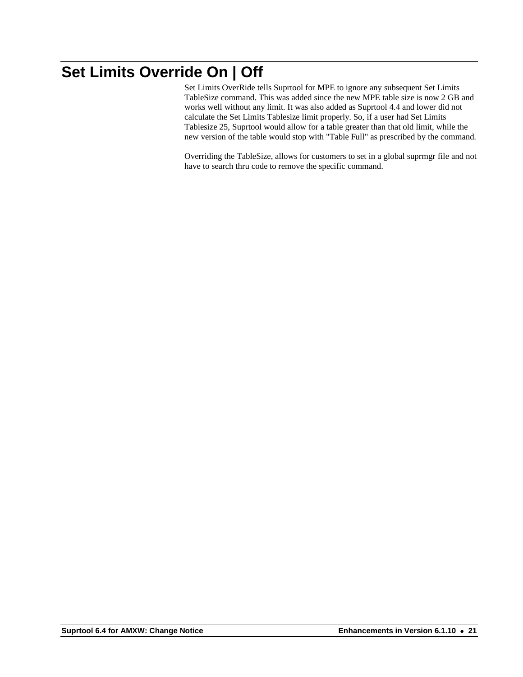# <span id="page-20-0"></span>**Set Limits Override On | Off**

Set Limits OverRide tells Suprtool for MPE to ignore any subsequent Set Limits TableSize command. This was added since the new MPE table size is now 2 GB and works well without any limit. It was also added as Suprtool 4.4 and lower did not calculate the Set Limits Tablesize limit properly. So, if a user had Set Limits Tablesize 25, Suprtool would allow for a table greater than that old limit, while the new version of the table would stop with "Table Full" as prescribed by the command.

Overriding the TableSize, allows for customers to set in a global suprmgr file and not have to search thru code to remove the specific command.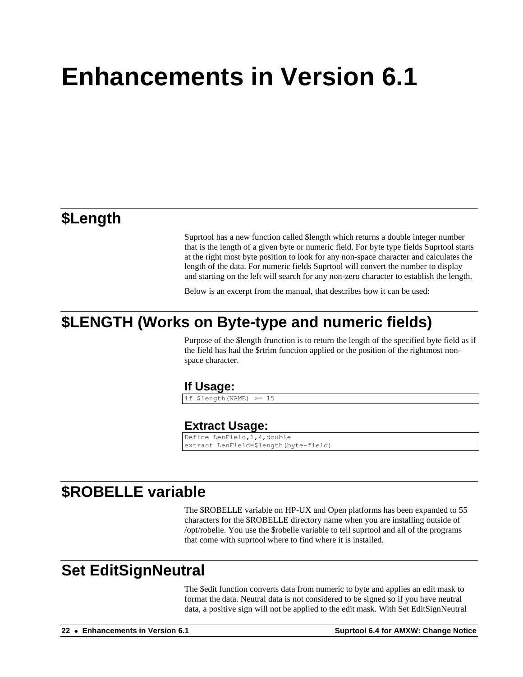### <span id="page-21-1"></span><span id="page-21-0"></span>**\$Length**

Suprtool has a new function called \$length which returns a double integer number that is the length of a given byte or numeric field. For byte type fields Suprtool starts at the right most byte position to look for any non-space character and calculates the length of the data. For numeric fields Suprtool will convert the number to display and starting on the left will search for any non-zero character to establish the length.

Below is an excerpt from the manual, that describes how it can be used:

## <span id="page-21-3"></span><span id="page-21-2"></span>**\$LENGTH (Works on Byte-type and numeric fields)**

Purpose of the \$length frunction is to return the length of the specified byte field as if the field has had the \$rtrim function applied or the position of the rightmost nonspace character.

#### **If Usage:**

if \$length(NAME) >= 15

#### **Extract Usage:**

Define LenField,1,4,double extract LenField=\$length(byte-field)

#### <span id="page-21-5"></span><span id="page-21-4"></span>**\$ROBELLE variable**

The \$ROBELLE variable on HP-UX and Open platforms has been expanded to 55 characters for the \$ROBELLE directory name when you are installing outside of /opt/robelle. You use the \$robelle variable to tell suprtool and all of the programs that come with suprtool where to find where it is installed.

#### <span id="page-21-6"></span>**Set EditSignNeutral**

The \$edit function converts data from numeric to byte and applies an edit mask to format the data. Neutral data is not considered to be signed so if you have neutral data, a positive sign will not be applied to the edit mask. With Set EditSignNeutral

**22** • **Enhancements in Version 6.1 Suprtool 6.4 for AMXW: Change Notice**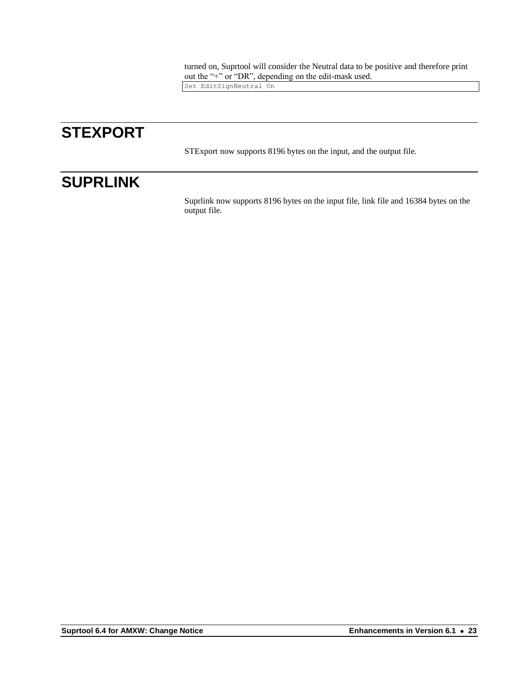turned on, Suprtool will consider the Neutral data to be positive and therefore print out the "+" or "DR", depending on the edit-mask used.

Set EditSignNeutral On

# <span id="page-22-0"></span>**STEXPORT**

STExport now supports 8196 bytes on the input, and the output file.

# <span id="page-22-1"></span>**SUPRLINK**

Suprlink now supports 8196 bytes on the input file, link file and 16384 bytes on the output file.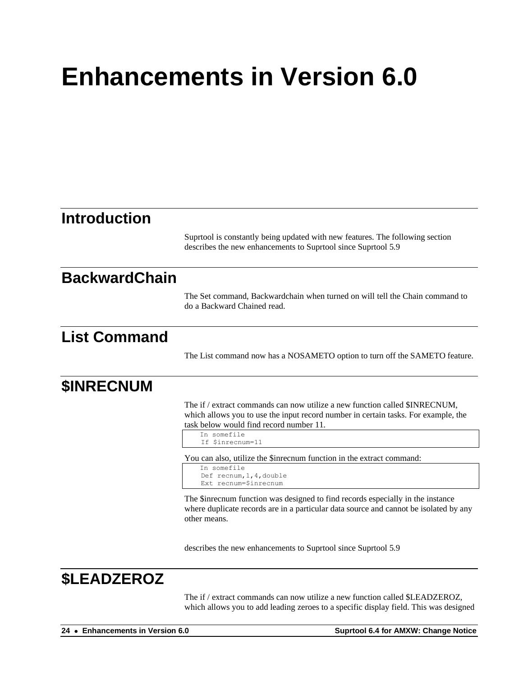#### <span id="page-23-4"></span><span id="page-23-3"></span><span id="page-23-2"></span><span id="page-23-1"></span><span id="page-23-0"></span>**Introduction** Suprtool is constantly being updated with new features. The following section describes the new enhancements to Suprtool since Suprtool 5.9 **BackwardChain** The Set command, Backwardchain when turned on will tell the Chain command to do a Backward Chained read. **List Command** The List command now has a NOSAMETO option to turn off the SAMETO feature. **\$INRECNUM** The if / extract commands can now utilize a new function called \$INRECNUM, which allows you to use the input record number in certain tasks. For example, the task below would find record number 11. In somefile If \$inrecnum=11 You can also, utilize the \$inrecnum function in the extract command: In somefile Def recnum,1,4,double Ext recnum=\$inrecnum The \$inrecnum function was designed to find records especially in the instance where duplicate records are in a particular data source and cannot be isolated by any other means. describes the new enhancements to Suprtool since Suprtool 5.9

# <span id="page-23-5"></span>**\$LEADZEROZ**

The if / extract commands can now utilize a new function called \$LEADZEROZ, which allows you to add leading zeroes to a specific display field. This was designed

**24** • **Enhancements in Version 6.0 Suprtool 6.4 for AMXW: Change Notice**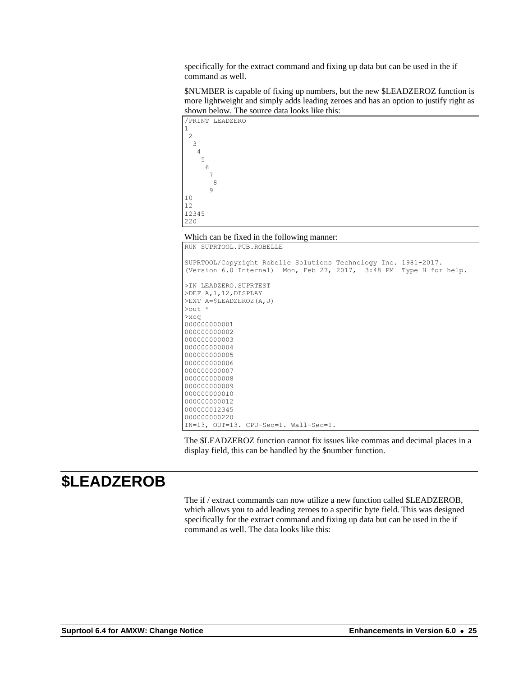specifically for the extract command and fixing up data but can be used in the if command as well.

\$NUMBER is capable of fixing up numbers, but the new \$LEADZEROZ function is more lightweight and simply adds leading zeroes and has an option to justify right as shown below. The source data looks like this:



Which can be fixed in the following manner:

RUN SUPRTOOL.PUB.ROBELLE

| SUPRTOOL/Copyright Robelle Solutions Technology Inc. 1981-2017.    |  |
|--------------------------------------------------------------------|--|
| (Version 6.0 Internal) Mon, Feb 27, 2017, 3:48 PM Type H for help. |  |
|                                                                    |  |
| >IN LEADZERO.SUPRTEST                                              |  |
| >DEF A, 1, 12, DISPLAY                                             |  |
| $>EXT A = $LEADZEROZ (A, J)$                                       |  |
| $\text{Out}$ *                                                     |  |
| $>$ xeq                                                            |  |
| 000000000001                                                       |  |
| 000000000002                                                       |  |
| 000000000003                                                       |  |
| 000000000004                                                       |  |
| 000000000005                                                       |  |
| 000000000006                                                       |  |
| 000000000007                                                       |  |
| 000000000008                                                       |  |
| 000000000009                                                       |  |
| 000000000010                                                       |  |
| 000000000012                                                       |  |
| 000000012345                                                       |  |
| 000000000220                                                       |  |
| IN=13, OUT=13. CPU-Sec=1. Wall-Sec=1.                              |  |

The \$LEADZEROZ function cannot fix issues like commas and decimal places in a display field, this can be handled by the \$number function.

#### <span id="page-24-0"></span>**\$LEADZEROB**

The if / extract commands can now utilize a new function called \$LEADZEROB, which allows you to add leading zeroes to a specific byte field. This was designed specifically for the extract command and fixing up data but can be used in the if command as well. The data looks like this: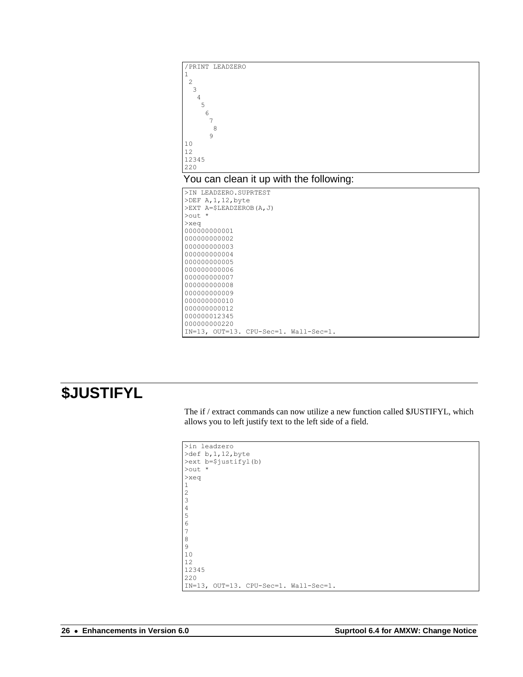<span id="page-25-0"></span>

# <span id="page-25-1"></span>**\$JUSTIFYL**

The if / extract commands can now utilize a new function called \$JUSTIFYL, which allows you to left justify text to the left side of a field.

```
>in leadzero
>def b,1,12,byte
>ext b=$justifyl(b)
>out *
>xeq
1
2
3
4
5
6
7
8
9
10
12
12345
220
IN=13, OUT=13. CPU-Sec=1. Wall-Sec=1.
```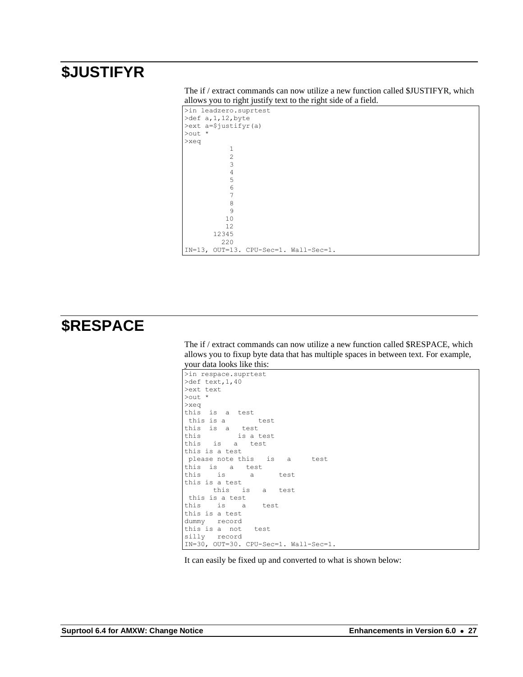# <span id="page-26-0"></span>**\$JUSTIFYR**

| The if / extract commands can now utilize a new function called \$JUSTIFYR, which |  |
|-----------------------------------------------------------------------------------|--|
| allows you to right justify text to the right side of a field.                    |  |

```
>in leadzero.suprtest
>def a,1,12,byte
>ext a=$justifyr(a)
>out *
>xeq
           1
 2
           3
 4
          \frac{5}{6}\sim 6
 7
           8
          9
         10
         12
       12345
         220
IN=13, OUT=13. CPU-Sec=1. Wall-Sec=1.
```
# <span id="page-26-1"></span>**\$RESPACE**

The if / extract commands can now utilize a new function called \$RESPACE, which allows you to fixup byte data that has multiple spaces in between text. For example, your data looks like this:

```
>in respace.suprtest
>def text,1,40
>ext text
>out *
>xeq
this is a test
 this is a test
this is a test
this is a test
this is a test
this is a test
please note this is a test
this is a test
this is a test
this is a test
      this is a test
this is a test
this is a test
this is a test
dummy record
this is a not test
silly record
IN=30, OUT=30. CPU-Sec=1. Wall-Sec=1.
```
It can easily be fixed up and converted to what is shown below: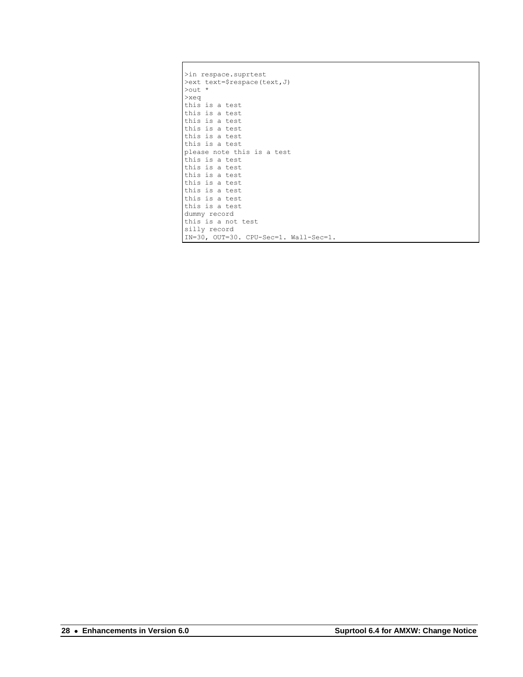| >in respace.suprtest                  |
|---------------------------------------|
| >ext text=\$respace(text, J)          |
| $\text{Out}$ *                        |
| $>$ xeq                               |
| this is a test                        |
| this is a test                        |
| this is a test                        |
| this is a test                        |
| this is a test                        |
| this is a test                        |
| please note this is a test            |
| this is a test                        |
| this is a test                        |
| this is a test                        |
| this is a test                        |
| this is a test                        |
| this is a test                        |
| this is a test                        |
| dummy record                          |
| this is a not test                    |
| silly record                          |
| IN=30, OUT=30. CPU-Sec=1. Wall-Sec=1. |